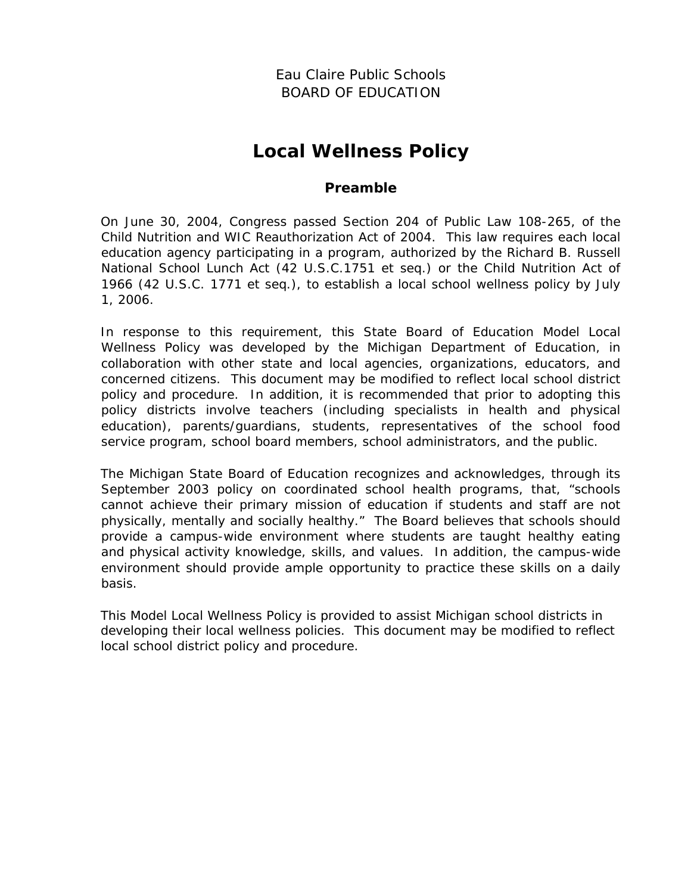Eau Claire Public Schools BOARD OF EDUCATION

# **Local Wellness Policy**

#### **Preamble**

On June 30, 2004, Congress passed Section 204 of Public Law 108-265, of the Child Nutrition and WIC Reauthorization Act of 2004. This law requires each local education agency participating in a program, authorized by the Richard B. Russell National School Lunch Act (42 U.S.C.1751 et seq.) or the Child Nutrition Act of 1966 (42 U.S.C. 1771 et seq.), to establish a local school wellness policy by July 1, 2006.

In response to this requirement, this State Board of Education Model Local Wellness Policy was developed by the Michigan Department of Education, in collaboration with other state and local agencies, organizations, educators, and concerned citizens. This document may be modified to reflect local school district policy and procedure. In addition, it is recommended that prior to adopting this policy districts involve teachers (including specialists in health and physical education), parents/guardians, students, representatives of the school food service program, school board members, school administrators, and the public.

The Michigan State Board of Education recognizes and acknowledges, through its September 2003 policy on coordinated school health programs, that, "schools cannot achieve their primary mission of education if students and staff are not physically, mentally and socially healthy." The Board believes that schools should provide a campus-wide environment where students are taught healthy eating and physical activity knowledge, skills, and values. In addition, the campus-wide environment should provide ample opportunity to practice these skills on a daily basis.

This Model Local Wellness Policy is provided to assist Michigan school districts in developing their local wellness policies. This document may be modified to reflect local school district policy and procedure.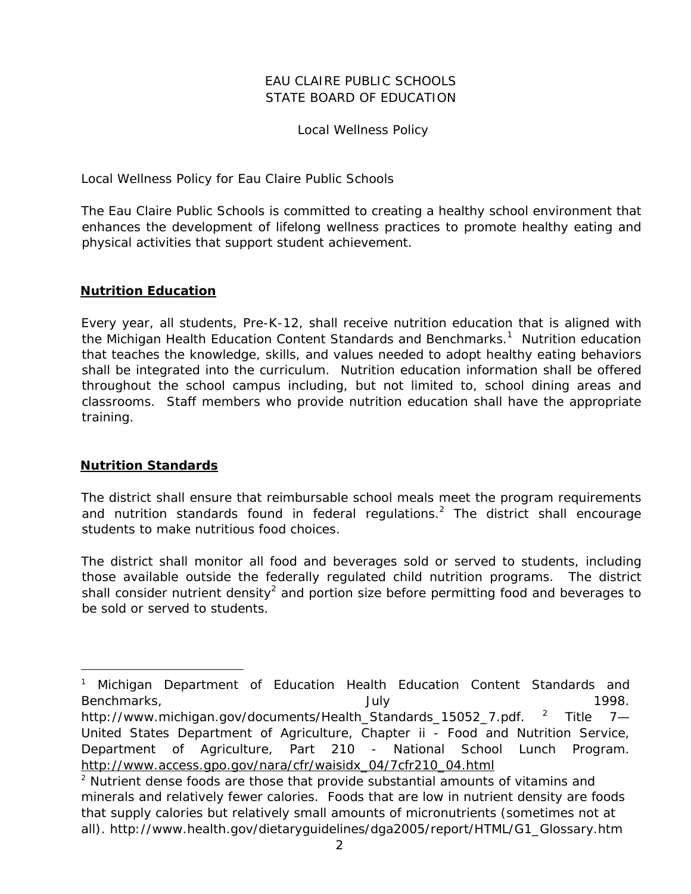#### EAU CLAIRE PUBLIC SCHOOLS STATE BOARD OF EDUCATION

Local Wellness Policy

Local Wellness Policy for Eau Claire Public Schools

The Eau Claire Public Schools is committed to creating a healthy school environment that enhances the development of lifelong wellness practices to promote healthy eating and physical activities that support student achievement.

#### **Nutrition Education**

Every year, all students, Pre-K-12, shall receive nutrition education that is aligned with the *Michigan Health Education Content Standards and Benchmarks*. 1 Nutrition education that teaches the knowledge, skills, and values needed to adopt healthy eating behaviors shall be integrated into the curriculum. Nutrition education information shall be offered throughout the school campus including, but not limited to, school dining areas and classrooms. Staff members who provide nutrition education shall have the appropriate training.

#### **Nutrition Standards**

-

The district shall ensure that reimbursable school meals meet the program requirements and nutrition standards found in federal regulations.<sup>2</sup> The district shall encourage students to make nutritious food choices.

The district shall monitor all food and beverages sold or served to students, including those available outside the federally regulated child nutrition programs. The district shall consider nutrient density<sup>2</sup> and portion size before permitting food and beverages to be sold or served to students.

<sup>&</sup>lt;sup>1</sup> Michigan Department of Education Health Education Content Standards and Benchmarks, and the state of the state of the July 1998. http://www.michigan.gov/documents/Health\_Standards\_15052\_7.pdf. <sup>2</sup> Title 7— United States Department of Agriculture, Chapter ii - Food and Nutrition Service, Department of Agriculture, Part 210 - National School Lunch Program. http://www.access.gpo.gov/nara/cfr/waisidx\_04/7cfr210\_04.html 2

 $2$  Nutrient dense foods are those that provide substantial amounts of vitamins and minerals and relatively fewer calories. Foods that are low in nutrient density are foods that supply calories but relatively small amounts of micronutrients (sometimes not at all). http://www.health.gov/dietaryguidelines/dga2005/report/HTML/G1\_Glossary.htm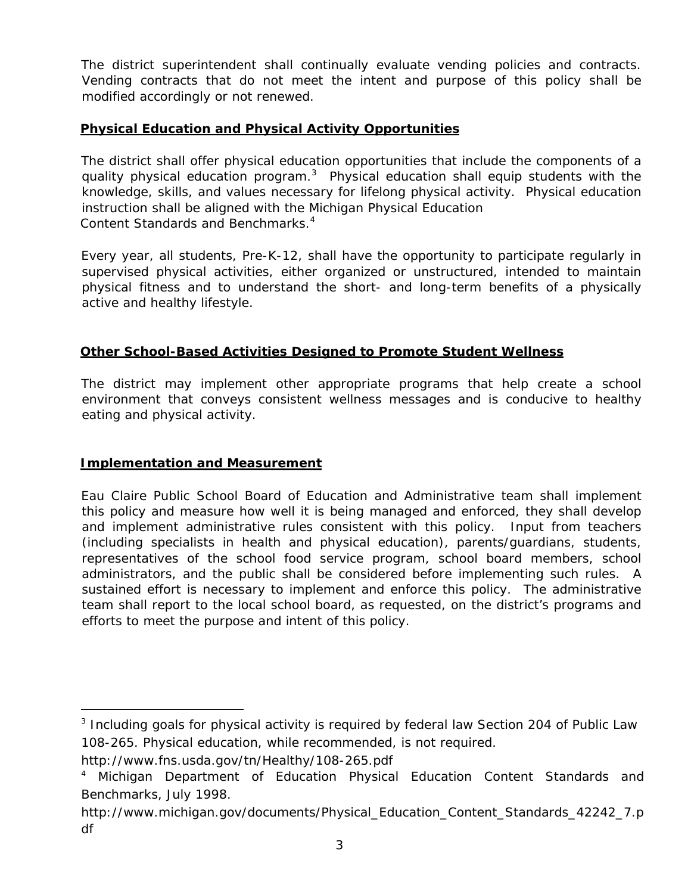The district superintendent shall continually evaluate vending policies and contracts. Vending contracts that do not meet the intent and purpose of this policy shall be modified accordingly or not renewed.

## **Physical Education and Physical Activity Opportunities**

The district shall offer physical education opportunities that include the components of a quality physical education program.<sup>3</sup> Physical education shall equip students with the knowledge, skills, and values necessary for lifelong physical activity. Physical education instruction shall be aligned with the *Michigan Physical Education Content Standards and Benchmarks*. 4

Every year, all students, Pre-K-12, shall have the opportunity to participate regularly in supervised physical activities, either organized or unstructured, intended to maintain physical fitness and to understand the short- and long-term benefits of a physically active and healthy lifestyle.

#### **Other School-Based Activities Designed to Promote Student Wellness**

The district may implement other appropriate programs that help create a school environment that conveys consistent wellness messages and is conducive to healthy eating and physical activity.

#### **Implementation and Measurement**

Eau Claire Public School Board of Education and Administrative team shall implement this policy and measure how well it is being managed and enforced, they shall develop and implement administrative rules consistent with this policy. Input from teachers (including specialists in health and physical education), parents/guardians, students, representatives of the school food service program, school board members, school administrators, and the public shall be considered before implementing such rules. A sustained effort is necessary to implement and enforce this policy. The administrative team shall report to the local school board, as requested, on the district's programs and efforts to meet the purpose and intent of this policy.

-

<sup>&</sup>lt;sup>3</sup> Including goals for physical activity is required by federal law Section 204 of Public Law 108-265. Physical education, while recommended, is not required.

http://www.fns.usda.gov/tn/Healthy/108-265.pdf

<sup>&</sup>lt;sup>4</sup> Michigan Department of Education Physical Education Content Standards and Benchmarks, July 1998.

http://www.michigan.gov/documents/Physical\_Education\_Content\_Standards\_42242\_7.p df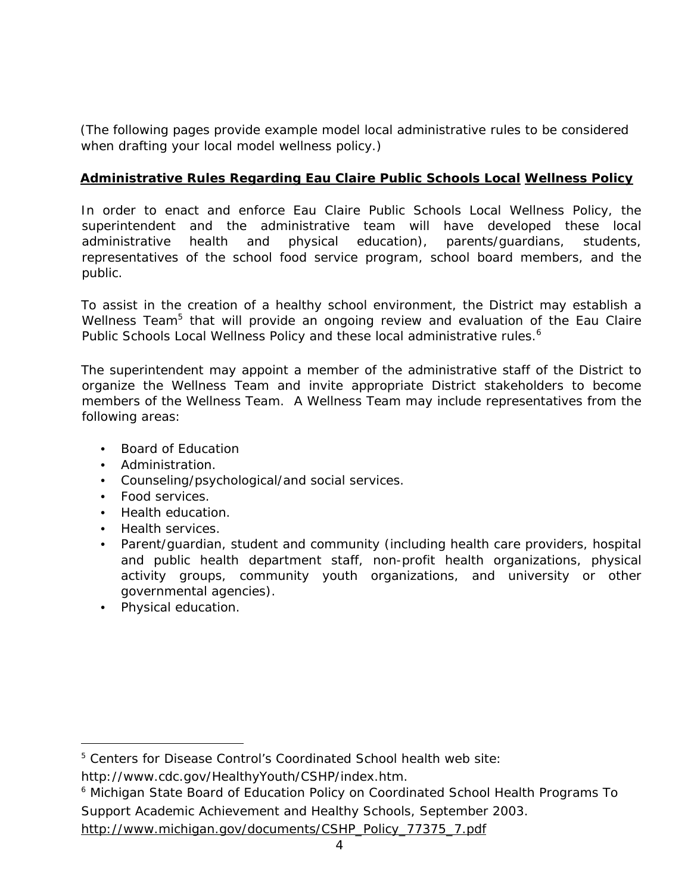*(The following pages provide example model local administrative rules to be considered when drafting your local model wellness policy.)* 

## **Administrative Rules Regarding Eau Claire Public Schools Local Wellness Policy**

In order to enact and enforce Eau Claire Public Schools Local Wellness Policy, the superintendent and the administrative team will have developed these local administrative health and physical education), parents/guardians, students, representatives of the school food service program, school board members, and the public.

To assist in the creation of a healthy school environment, the District may establish a Wellness Team<sup>5</sup> that will provide an ongoing review and evaluation of the Eau Claire Public Schools Local Wellness Policy and these local administrative rules.<sup>6</sup>

The superintendent may appoint a member of the administrative staff of the District to organize the Wellness Team and invite appropriate District stakeholders to become members of the Wellness Team. A Wellness Team may include representatives from the following areas:

- Board of Education
- Administration.
- Counseling/psychological/and social services.
- Food services.
- Health education.
- Health services.
- Parent/guardian, student and community (including health care providers, hospital and public health department staff, non-profit health organizations, physical activity groups, community youth organizations, and university or other governmental agencies).
- Physical education.

-

<sup>&</sup>lt;sup>5</sup> Centers for Disease Control's Coordinated School health web site:

http://www.cdc.gov/HealthyYouth/CSHP/index.htm.

<sup>&</sup>lt;sup>6</sup> Michigan State Board of Education Policy on Coordinated School Health Programs To Support Academic Achievement and Healthy Schools, September 2003.

http://www.michigan.gov/documents/CSHP\_Policy\_77375\_7.pdf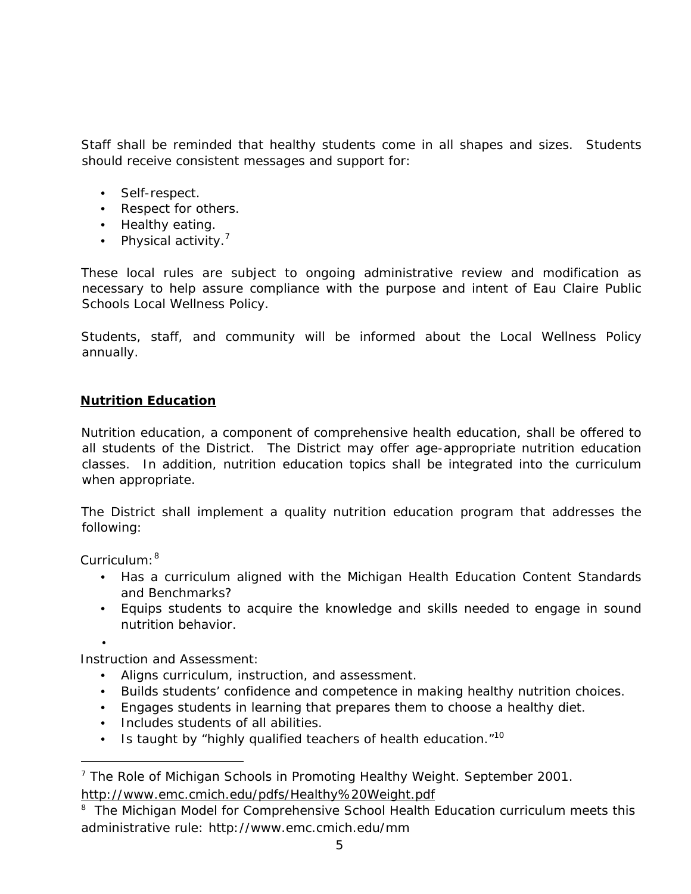Staff shall be reminded that healthy students come in all shapes and sizes. Students should receive consistent messages and support for:

- Self-respect.
- Respect for others.
- Healthy eating.
- Physical activity.<sup>7</sup>

These local rules are subject to ongoing administrative review and modification as necessary to help assure compliance with the purpose and intent of Eau Claire Public Schools Local Wellness Policy.

Students, staff, and community will be informed about the Local Wellness Policy annually.

#### **Nutrition Education**

Nutrition education, a component of comprehensive health education, shall be offered to all students of the District. The District may offer age-appropriate nutrition education classes. In addition, nutrition education topics shall be integrated into the curriculum when appropriate.

The District shall implement a quality nutrition education program that addresses the following:

#### *Curriculum:<sup>8</sup>*

- Has a curriculum aligned with the *Michigan Health Education Content Standards and Benchmarks*?
- Equips students to acquire the knowledge and skills needed to engage in sound nutrition behavior.

•

-

*Instruction and Assessment:* 

- Aligns curriculum, instruction, and assessment.
- Builds students' confidence and competence in making healthy nutrition choices.
- Engages students in learning that prepares them to choose a healthy diet.
- Includes students of all abilities.
- Is taught by "highly qualified teachers of health education. $10^{10}$

<sup>&</sup>lt;sup>7</sup> The Role of Michigan Schools in Promoting Healthy Weight. September 2001. http://www.emc.cmich.edu/pdfs/Healthy%20Weight.pdf

<sup>&</sup>lt;sup>8</sup> The Michigan Model for Comprehensive School Health Education curriculum meets this administrative rule: http://www.emc.cmich.edu/mm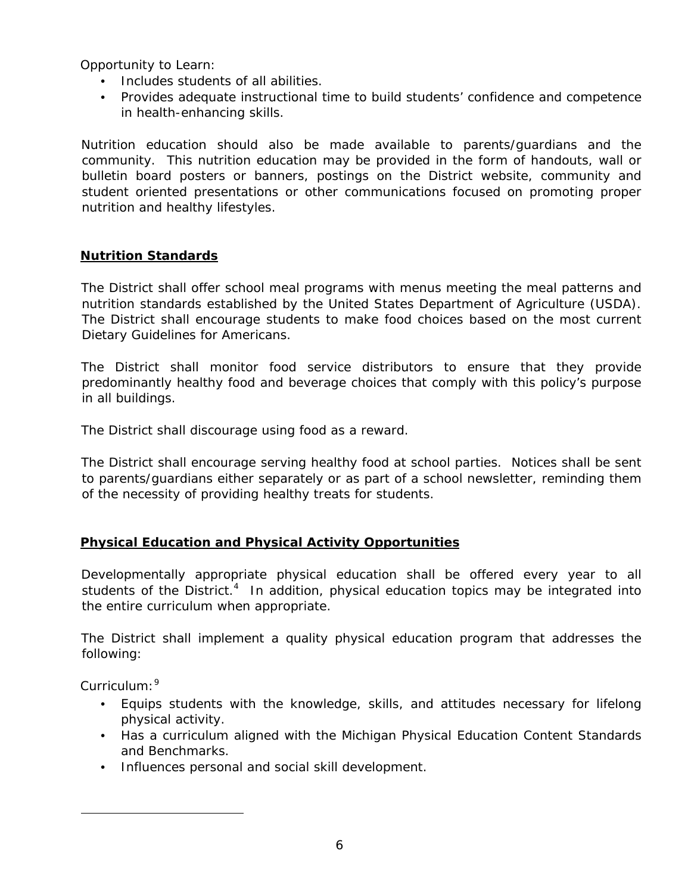*Opportunity to Learn:* 

- Includes students of all abilities.
- Provides adequate instructional time to build students' confidence and competence in health-enhancing skills.

Nutrition education should also be made available to parents/guardians and the community. This nutrition education may be provided in the form of handouts, wall or bulletin board posters or banners, postings on the District website, community and student oriented presentations or other communications focused on promoting proper nutrition and healthy lifestyles.

#### **Nutrition Standards**

The District shall offer school meal programs with menus meeting the meal patterns and nutrition standards established by the United States Department of Agriculture (USDA). The District shall encourage students to make food choices based on the most current Dietary Guidelines for Americans.

The District shall monitor food service distributors to ensure that they provide predominantly healthy food and beverage choices that comply with this policy's purpose in all buildings.

The District shall discourage using food as a reward.

The District shall encourage serving healthy food at school parties. Notices shall be sent to parents/guardians either separately or as part of a school newsletter, reminding them of the necessity of providing healthy treats for students.

# **Physical Education and Physical Activity Opportunities**

Developmentally appropriate physical education shall be offered every year to all students of the District.<sup>4</sup> In addition, physical education topics may be integrated into the entire curriculum when appropriate.

The District shall implement a quality physical education program that addresses the following:

*Curriculum:*<sup>9</sup>

-

- Equips students with the knowledge, skills, and attitudes necessary for lifelong physical activity.
- Has a curriculum aligned with the *Michigan Physical Education Content Standards and Benchmarks*.
- Influences personal and social skill development.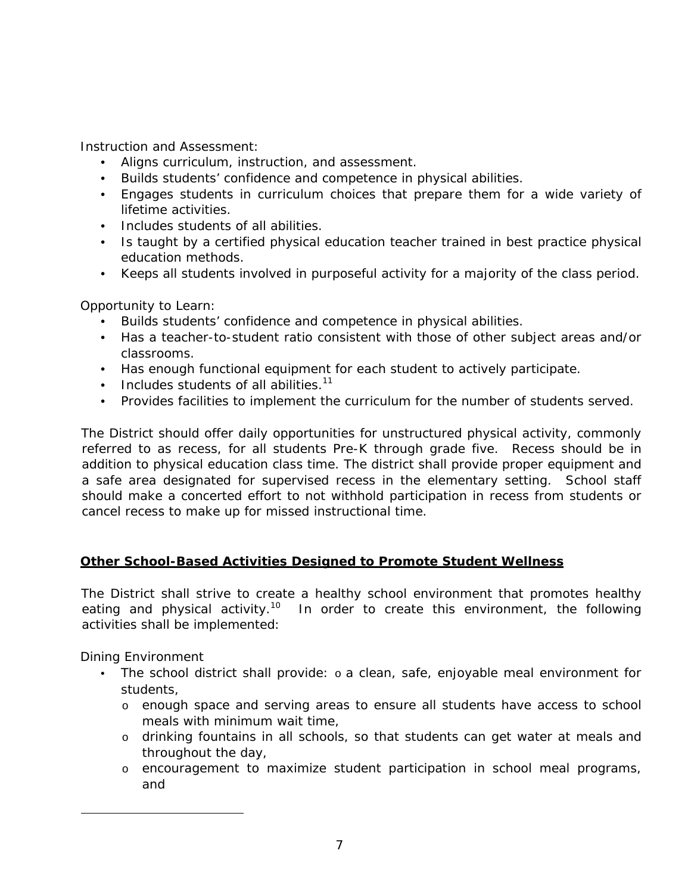*Instruction and Assessment:* 

- Aligns curriculum, instruction, and assessment.
- Builds students' confidence and competence in physical abilities.
- Engages students in curriculum choices that prepare them for a wide variety of lifetime activities.
- Includes students of all abilities.
- Is taught by a certified physical education teacher trained in best practice physical education methods.
- Keeps all students involved in purposeful activity for a majority of the class period.

#### *Opportunity to Learn:*

- Builds students' confidence and competence in physical abilities.
- Has a teacher-to-student ratio consistent with those of other subject areas and/or classrooms.
- Has enough functional equipment for each student to actively participate.
- $\bullet$  Includes students of all abilities.<sup>11</sup>
- Provides facilities to implement the curriculum for the number of students served.

The District should offer daily opportunities for unstructured physical activity, commonly referred to as recess, for all students Pre-K through grade five. Recess should be in addition to physical education class time. The district shall provide proper equipment and a safe area designated for supervised recess in the elementary setting. School staff should make a concerted effort to not withhold participation in recess from students or cancel recess to make up for missed instructional time.

#### **Other School-Based Activities Designed to Promote Student Wellness**

The District shall strive to create a healthy school environment that promotes healthy eating and physical activity.<sup>10</sup> In order to create this environment, the following activities shall be implemented:

#### *Dining Environment*

j

- The school district shall provide: o a clean, safe, enjoyable meal environment for students,
	- o enough space and serving areas to ensure all students have access to school meals with minimum wait time,
	- o drinking fountains in all schools, so that students can get water at meals and throughout the day,
	- o encouragement to maximize student participation in school meal programs, and